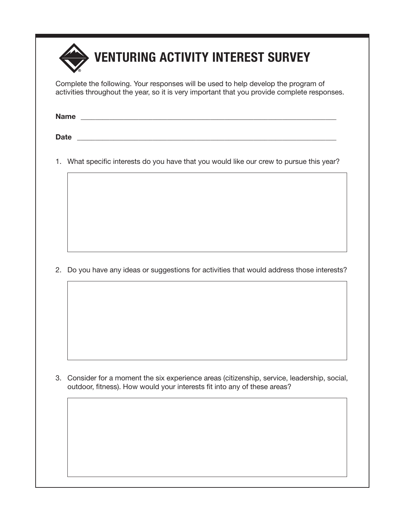

Complete the following. Your responses will be used to help develop the program of activities throughout the year, so it is very important that you provide complete responses.

**Name** \_\_\_\_\_\_\_\_\_\_\_\_\_\_\_\_\_\_\_\_\_\_\_\_\_\_\_\_\_\_\_\_\_\_\_\_\_\_\_\_\_\_\_\_\_\_\_\_\_\_\_\_\_\_\_\_\_\_\_\_\_\_\_\_\_\_\_\_\_\_\_

Date **Date Date Letters Letters Letters Letters Letters Letters Letters** 

1. What specific interests do you have that you would like our crew to pursue this year?

2. Do you have any ideas or suggestions for activities that would address those interests?

3. Consider for a moment the six experience areas (citizenship, service, leadership, social, outdoor, fitness). How would your interests fit into any of these areas?